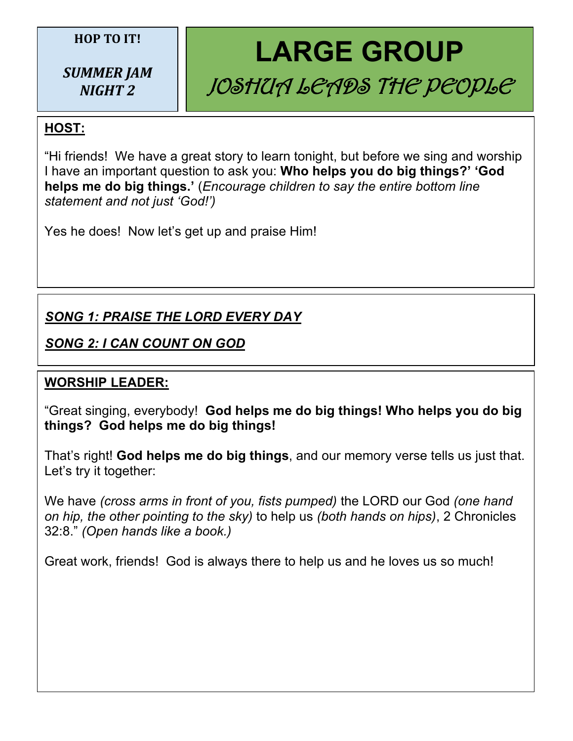#### **HOP TO IT!**

*SUMMER JAM NIGHT 2*

# **LARGE GROUP** JOSHUA LEADS THE PEOPLE

## **HOST:**

"Hi friends! We have a great story to learn tonight, but before we sing and worship I have an important question to ask you: **Who helps you do big things?' 'God helps me do big things.'** (*Encourage children to say the entire bottom line statement and not just 'God!')*

Yes he does! Now let's get up and praise Him!

## *SONG 1: PRAISE THE LORD EVERY DAY*

## *SONG 2: I CAN COUNT ON GOD*

## **WORSHIP LEADER:**

"Great singing, everybody! **God helps me do big things! Who helps you do big things? God helps me do big things!**

That's right! **God helps me do big things**, and our memory verse tells us just that. Let's try it together:

We have *(cross arms in front of you, fists pumped)* the LORD our God *(one hand on hip, the other pointing to the sky)* to help us *(both hands on hips)*, 2 Chronicles 32:8." *(Open hands like a book.)*

Great work, friends! God is always there to help us and he loves us so much!